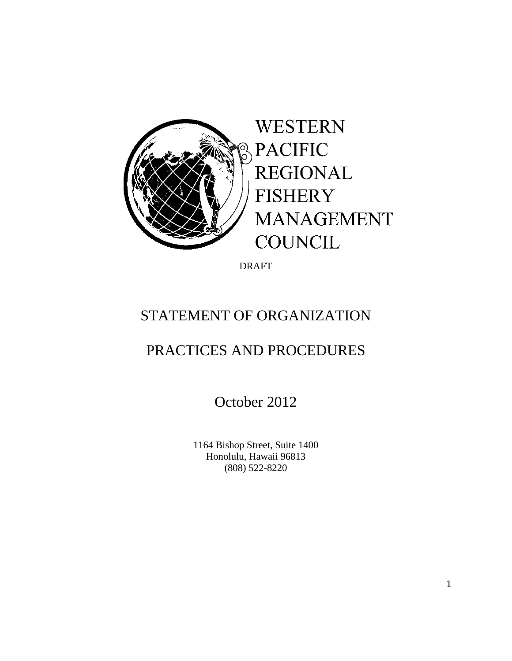

DRAFT

# STATEMENT OF ORGANIZATION

# PRACTICES AND PROCEDURES

October 2012

 1164 Bishop Street, Suite 1400 Honolulu, Hawaii 96813 (808) 522-8220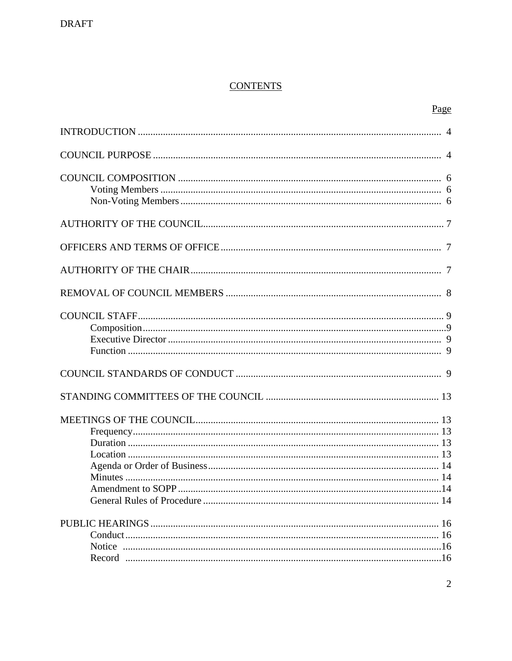# **CONTENTS**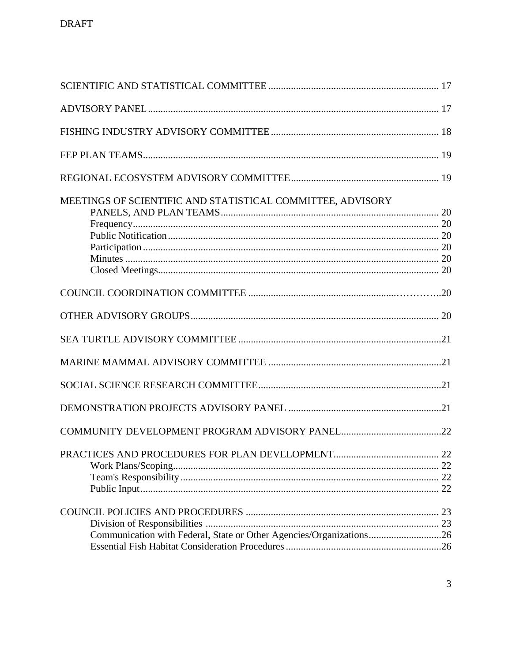| MEETINGS OF SCIENTIFIC AND STATISTICAL COMMITTEE, ADVISORY          |  |
|---------------------------------------------------------------------|--|
|                                                                     |  |
|                                                                     |  |
|                                                                     |  |
|                                                                     |  |
|                                                                     |  |
|                                                                     |  |
|                                                                     |  |
|                                                                     |  |
| Communication with Federal, State or Other Agencies/Organizations26 |  |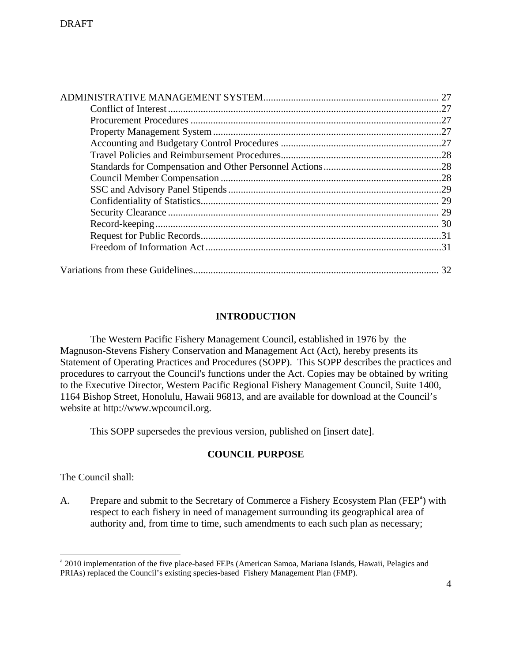# **INTRODUCTION**

 The Western Pacific Fishery Management Council, established in 1976 by the Magnuson-Stevens Fishery Conservation and Management Act (Act), hereby presents its Statement of Operating Practices and Procedures (SOPP). This SOPP describes the practices and procedures to carryout the Council's functions under the Act. Copies may be obtained by writing to the Executive Director, Western Pacific Regional Fishery Management Council, Suite 1400, 1164 Bishop Street, Honolulu, Hawaii 96813, and are available for download at the Council's website at http://www.wpcouncil.org.

This SOPP supersedes the previous version, published on [insert date].

# **COUNCIL PURPOSE**

The Council shall:

<u>.</u>

A. Prepare and submit to the Secretary of Commerce a Fishery Ecosystem Plan (FEP<sup>a</sup>) with respect to each fishery in need of management surrounding its geographical area of authority and, from time to time, such amendments to each such plan as necessary;

<sup>&</sup>lt;sup>a</sup> 2010 implementation of the five place-based FEPs (American Samoa, Mariana Islands, Hawaii, Pelagics and PRIAs) replaced the Council's existing species-based Fishery Management Plan (FMP).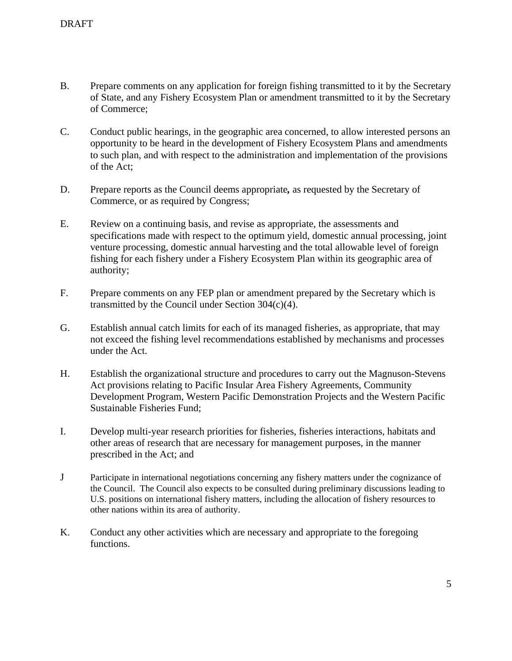- B. Prepare comments on any application for foreign fishing transmitted to it by the Secretary of State, and any Fishery Ecosystem Plan or amendment transmitted to it by the Secretary of Commerce;
- C. Conduct public hearings, in the geographic area concerned, to allow interested persons an opportunity to be heard in the development of Fishery Ecosystem Plans and amendments to such plan, and with respect to the administration and implementation of the provisions of the Act;
- D. Prepare reports as the Council deems appropriate*,* as requested by the Secretary of Commerce, or as required by Congress;
- E. Review on a continuing basis, and revise as appropriate, the assessments and specifications made with respect to the optimum yield, domestic annual processing, joint venture processing, domestic annual harvesting and the total allowable level of foreign fishing for each fishery under a Fishery Ecosystem Plan within its geographic area of authority;
- F. Prepare comments on any FEP plan or amendment prepared by the Secretary which is transmitted by the Council under Section 304(c)(4).
- G. Establish annual catch limits for each of its managed fisheries, as appropriate, that may not exceed the fishing level recommendations established by mechanisms and processes under the Act.
- H. Establish the organizational structure and procedures to carry out the Magnuson-Stevens Act provisions relating to Pacific Insular Area Fishery Agreements, Community Development Program, Western Pacific Demonstration Projects and the Western Pacific Sustainable Fisheries Fund;
- I. Develop multi-year research priorities for fisheries, fisheries interactions, habitats and other areas of research that are necessary for management purposes, in the manner prescribed in the Act; and
- J Participate in international negotiations concerning any fishery matters under the cognizance of the Council. The Council also expects to be consulted during preliminary discussions leading to U.S. positions on international fishery matters, including the allocation of fishery resources to other nations within its area of authority.
- K. Conduct any other activities which are necessary and appropriate to the foregoing functions.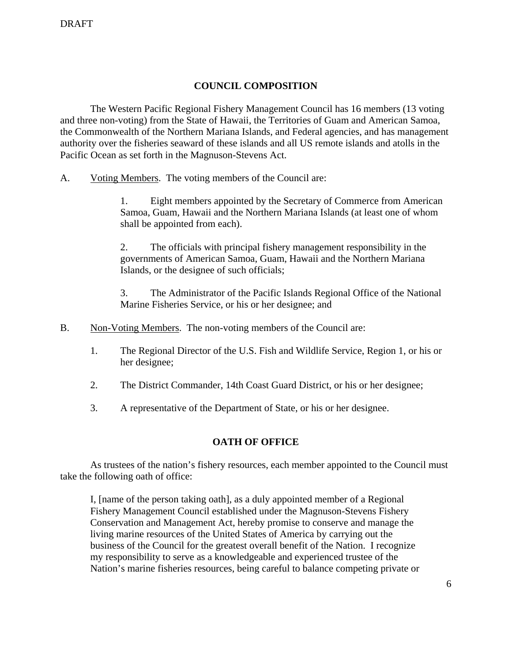# **COUNCIL COMPOSITION**

 The Western Pacific Regional Fishery Management Council has 16 members (13 voting and three non-voting) from the State of Hawaii, the Territories of Guam and American Samoa, the Commonwealth of the Northern Mariana Islands, and Federal agencies, and has management authority over the fisheries seaward of these islands and all US remote islands and atolls in the Pacific Ocean as set forth in the Magnuson-Stevens Act.

A. Voting Members. The voting members of the Council are:

 1. Eight members appointed by the Secretary of Commerce from American Samoa, Guam, Hawaii and the Northern Mariana Islands (at least one of whom shall be appointed from each).

 2. The officials with principal fishery management responsibility in the governments of American Samoa, Guam, Hawaii and the Northern Mariana Islands, or the designee of such officials;

 3. The Administrator of the Pacific Islands Regional Office of the National Marine Fisheries Service, or his or her designee; and

- B. Non-Voting Members. The non-voting members of the Council are:
	- 1. The Regional Director of the U.S. Fish and Wildlife Service, Region 1, or his or her designee;
	- 2. The District Commander, 14th Coast Guard District, or his or her designee;
	- 3. A representative of the Department of State, or his or her designee.

# **OATH OF OFFICE**

 As trustees of the nation's fishery resources, each member appointed to the Council must take the following oath of office:

I, [name of the person taking oath], as a duly appointed member of a Regional Fishery Management Council established under the Magnuson-Stevens Fishery Conservation and Management Act, hereby promise to conserve and manage the living marine resources of the United States of America by carrying out the business of the Council for the greatest overall benefit of the Nation. I recognize my responsibility to serve as a knowledgeable and experienced trustee of the Nation's marine fisheries resources, being careful to balance competing private or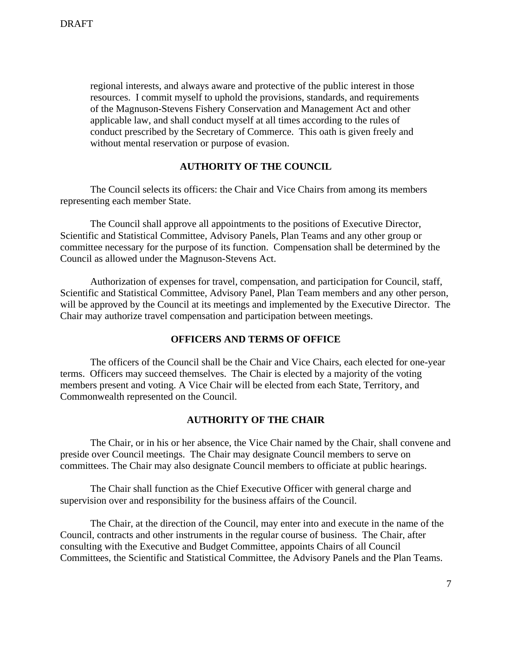regional interests, and always aware and protective of the public interest in those resources. I commit myself to uphold the provisions, standards, and requirements of the Magnuson-Stevens Fishery Conservation and Management Act and other applicable law, and shall conduct myself at all times according to the rules of conduct prescribed by the Secretary of Commerce. This oath is given freely and without mental reservation or purpose of evasion.

### **AUTHORITY OF THE COUNCIL**

 The Council selects its officers: the Chair and Vice Chairs from among its members representing each member State.

 The Council shall approve all appointments to the positions of Executive Director, Scientific and Statistical Committee, Advisory Panels, Plan Teams and any other group or committee necessary for the purpose of its function. Compensation shall be determined by the Council as allowed under the Magnuson-Stevens Act.

 Authorization of expenses for travel, compensation, and participation for Council, staff, Scientific and Statistical Committee, Advisory Panel, Plan Team members and any other person, will be approved by the Council at its meetings and implemented by the Executive Director. The Chair may authorize travel compensation and participation between meetings.

#### **OFFICERS AND TERMS OF OFFICE**

 The officers of the Council shall be the Chair and Vice Chairs, each elected for one-year terms. Officers may succeed themselves. The Chair is elected by a majority of the voting members present and voting. A Vice Chair will be elected from each State, Territory, and Commonwealth represented on the Council.

## **AUTHORITY OF THE CHAIR**

 The Chair, or in his or her absence, the Vice Chair named by the Chair, shall convene and preside over Council meetings. The Chair may designate Council members to serve on committees. The Chair may also designate Council members to officiate at public hearings.

 The Chair shall function as the Chief Executive Officer with general charge and supervision over and responsibility for the business affairs of the Council.

 The Chair, at the direction of the Council, may enter into and execute in the name of the Council, contracts and other instruments in the regular course of business. The Chair, after consulting with the Executive and Budget Committee, appoints Chairs of all Council Committees, the Scientific and Statistical Committee, the Advisory Panels and the Plan Teams.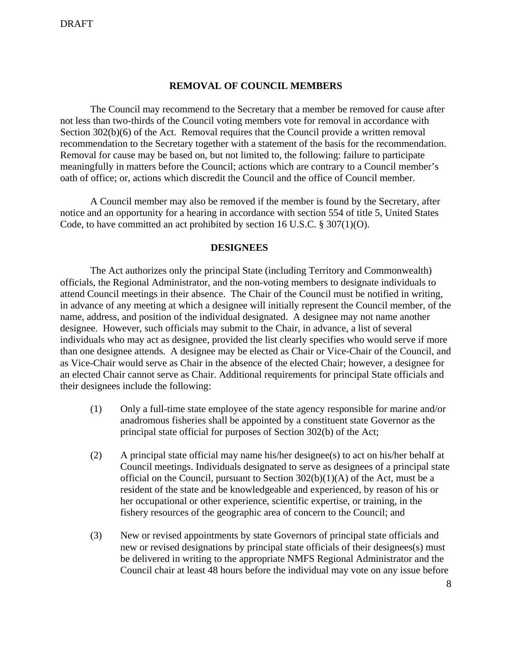#### **REMOVAL OF COUNCIL MEMBERS**

The Council may recommend to the Secretary that a member be removed for cause after not less than two-thirds of the Council voting members vote for removal in accordance with Section 302(b)(6) of the Act. Removal requires that the Council provide a written removal recommendation to the Secretary together with a statement of the basis for the recommendation. Removal for cause may be based on, but not limited to, the following: failure to participate meaningfully in matters before the Council; actions which are contrary to a Council member's oath of office; or, actions which discredit the Council and the office of Council member.

A Council member may also be removed if the member is found by the Secretary, after notice and an opportunity for a hearing in accordance with section 554 of title 5, United States Code, to have committed an act prohibited by section 16 U.S.C. § 307(1)(O).

### **DESIGNEES**

 The Act authorizes only the principal State (including Territory and Commonwealth) officials, the Regional Administrator, and the non-voting members to designate individuals to attend Council meetings in their absence. The Chair of the Council must be notified in writing, in advance of any meeting at which a designee will initially represent the Council member, of the name, address, and position of the individual designated. A designee may not name another designee. However, such officials may submit to the Chair, in advance, a list of several individuals who may act as designee, provided the list clearly specifies who would serve if more than one designee attends. A designee may be elected as Chair or Vice-Chair of the Council, and as Vice-Chair would serve as Chair in the absence of the elected Chair; however, a designee for an elected Chair cannot serve as Chair. Additional requirements for principal State officials and their designees include the following:

- (1) Only a full-time state employee of the state agency responsible for marine and/or anadromous fisheries shall be appointed by a constituent state Governor as the principal state official for purposes of Section 302(b) of the Act;
- (2) A principal state official may name his/her designee(s) to act on his/her behalf at Council meetings. Individuals designated to serve as designees of a principal state official on the Council, pursuant to Section  $302(b)(1)(A)$  of the Act, must be a resident of the state and be knowledgeable and experienced, by reason of his or her occupational or other experience, scientific expertise, or training, in the fishery resources of the geographic area of concern to the Council; and
- (3) New or revised appointments by state Governors of principal state officials and new or revised designations by principal state officials of their designees(s) must be delivered in writing to the appropriate NMFS Regional Administrator and the Council chair at least 48 hours before the individual may vote on any issue before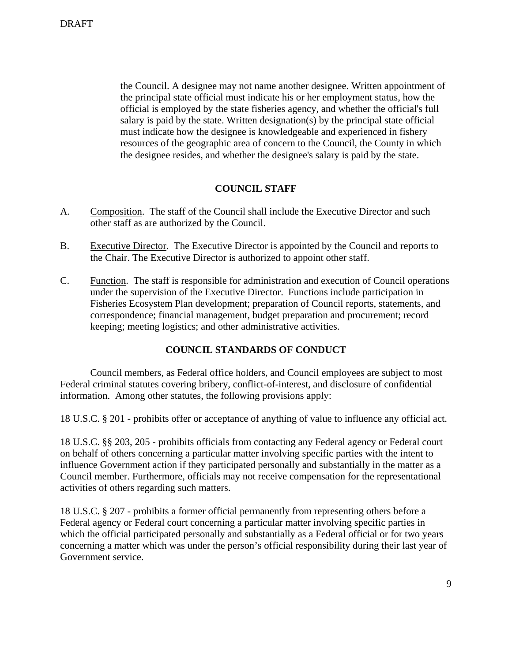the Council. A designee may not name another designee. Written appointment of the principal state official must indicate his or her employment status, how the official is employed by the state fisheries agency, and whether the official's full salary is paid by the state. Written designation(s) by the principal state official must indicate how the designee is knowledgeable and experienced in fishery resources of the geographic area of concern to the Council, the County in which the designee resides, and whether the designee's salary is paid by the state.

# **COUNCIL STAFF**

- A. Composition. The staff of the Council shall include the Executive Director and such other staff as are authorized by the Council.
- B. Executive Director. The Executive Director is appointed by the Council and reports to the Chair. The Executive Director is authorized to appoint other staff.
- C. Function. The staff is responsible for administration and execution of Council operations under the supervision of the Executive Director. Functions include participation in Fisheries Ecosystem Plan development; preparation of Council reports, statements, and correspondence; financial management, budget preparation and procurement; record keeping; meeting logistics; and other administrative activities.

# **COUNCIL STANDARDS OF CONDUCT**

 Council members, as Federal office holders, and Council employees are subject to most Federal criminal statutes covering bribery, conflict-of-interest, and disclosure of confidential information. Among other statutes, the following provisions apply:

18 U.S.C. § 201 - prohibits offer or acceptance of anything of value to influence any official act.

18 U.S.C. §§ 203, 205 - prohibits officials from contacting any Federal agency or Federal court on behalf of others concerning a particular matter involving specific parties with the intent to influence Government action if they participated personally and substantially in the matter as a Council member. Furthermore, officials may not receive compensation for the representational activities of others regarding such matters.

18 U.S.C. § 207 - prohibits a former official permanently from representing others before a Federal agency or Federal court concerning a particular matter involving specific parties in which the official participated personally and substantially as a Federal official or for two years concerning a matter which was under the person's official responsibility during their last year of Government service.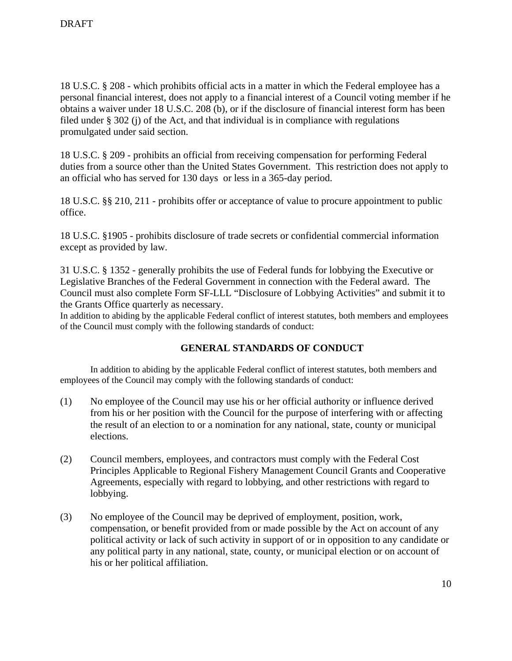18 U.S.C. § 208 - which prohibits official acts in a matter in which the Federal employee has a personal financial interest, does not apply to a financial interest of a Council voting member if he obtains a waiver under 18 U.S.C. 208 (b), or if the disclosure of financial interest form has been filed under § 302 (j) of the Act, and that individual is in compliance with regulations promulgated under said section.

18 U.S.C. § 209 - prohibits an official from receiving compensation for performing Federal duties from a source other than the United States Government. This restriction does not apply to an official who has served for 130 days or less in a 365-day period.

18 U.S.C. §§ 210, 211 - prohibits offer or acceptance of value to procure appointment to public office.

18 U.S.C. §1905 - prohibits disclosure of trade secrets or confidential commercial information except as provided by law.

31 U.S.C. § 1352 - generally prohibits the use of Federal funds for lobbying the Executive or Legislative Branches of the Federal Government in connection with the Federal award. The Council must also complete Form SF-LLL "Disclosure of Lobbying Activities" and submit it to the Grants Office quarterly as necessary.

In addition to abiding by the applicable Federal conflict of interest statutes, both members and employees of the Council must comply with the following standards of conduct:

# **GENERAL STANDARDS OF CONDUCT**

 In addition to abiding by the applicable Federal conflict of interest statutes, both members and employees of the Council may comply with the following standards of conduct:

- (1) No employee of the Council may use his or her official authority or influence derived from his or her position with the Council for the purpose of interfering with or affecting the result of an election to or a nomination for any national, state, county or municipal elections.
- (2) Council members, employees, and contractors must comply with the Federal Cost Principles Applicable to Regional Fishery Management Council Grants and Cooperative Agreements, especially with regard to lobbying, and other restrictions with regard to lobbying.
- (3) No employee of the Council may be deprived of employment, position, work, compensation, or benefit provided from or made possible by the Act on account of any political activity or lack of such activity in support of or in opposition to any candidate or any political party in any national, state, county, or municipal election or on account of his or her political affiliation.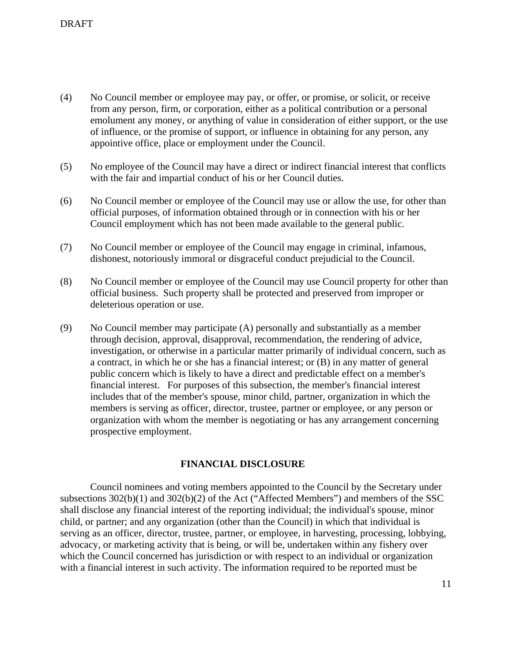- (4) No Council member or employee may pay, or offer, or promise, or solicit, or receive from any person, firm, or corporation, either as a political contribution or a personal emolument any money, or anything of value in consideration of either support, or the use of influence, or the promise of support, or influence in obtaining for any person, any appointive office, place or employment under the Council.
- (5) No employee of the Council may have a direct or indirect financial interest that conflicts with the fair and impartial conduct of his or her Council duties.
- (6) No Council member or employee of the Council may use or allow the use, for other than official purposes, of information obtained through or in connection with his or her Council employment which has not been made available to the general public.
- (7) No Council member or employee of the Council may engage in criminal, infamous, dishonest, notoriously immoral or disgraceful conduct prejudicial to the Council.
- (8) No Council member or employee of the Council may use Council property for other than official business. Such property shall be protected and preserved from improper or deleterious operation or use.
- (9) No Council member may participate (A) personally and substantially as a member through decision, approval, disapproval, recommendation, the rendering of advice, investigation, or otherwise in a particular matter primarily of individual concern, such as a contract, in which he or she has a financial interest; or (B) in any matter of general public concern which is likely to have a direct and predictable effect on a member's financial interest. For purposes of this subsection, the member's financial interest includes that of the member's spouse, minor child, partner, organization in which the members is serving as officer, director, trustee, partner or employee, or any person or organization with whom the member is negotiating or has any arrangement concerning prospective employment.

# **FINANCIAL DISCLOSURE**

 Council nominees and voting members appointed to the Council by the Secretary under subsections 302(b)(1) and 302(b)(2) of the Act ("Affected Members") and members of the SSC shall disclose any financial interest of the reporting individual; the individual's spouse, minor child, or partner; and any organization (other than the Council) in which that individual is serving as an officer, director, trustee, partner, or employee, in harvesting, processing, lobbying, advocacy, or marketing activity that is being, or will be, undertaken within any fishery over which the Council concerned has jurisdiction or with respect to an individual or organization with a financial interest in such activity. The information required to be reported must be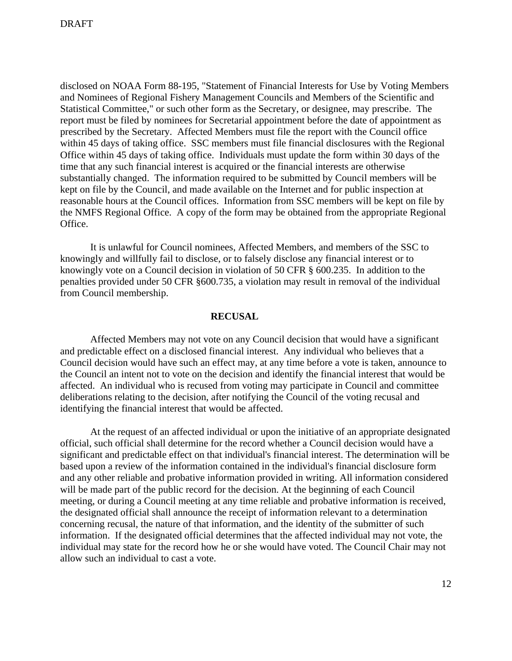disclosed on NOAA Form 88-195, "Statement of Financial Interests for Use by Voting Members and Nominees of Regional Fishery Management Councils and Members of the Scientific and Statistical Committee," or such other form as the Secretary, or designee, may prescribe. The report must be filed by nominees for Secretarial appointment before the date of appointment as prescribed by the Secretary. Affected Members must file the report with the Council office within 45 days of taking office. SSC members must file financial disclosures with the Regional Office within 45 days of taking office. Individuals must update the form within 30 days of the time that any such financial interest is acquired or the financial interests are otherwise substantially changed. The information required to be submitted by Council members will be kept on file by the Council, and made available on the Internet and for public inspection at reasonable hours at the Council offices. Information from SSC members will be kept on file by the NMFS Regional Office. A copy of the form may be obtained from the appropriate Regional Office.

 It is unlawful for Council nominees, Affected Members, and members of the SSC to knowingly and willfully fail to disclose, or to falsely disclose any financial interest or to knowingly vote on a Council decision in violation of 50 CFR § 600.235. In addition to the penalties provided under 50 CFR §600.735, a violation may result in removal of the individual from Council membership.

# **RECUSAL**

Affected Members may not vote on any Council decision that would have a significant and predictable effect on a disclosed financial interest. Any individual who believes that a Council decision would have such an effect may, at any time before a vote is taken, announce to the Council an intent not to vote on the decision and identify the financial interest that would be affected. An individual who is recused from voting may participate in Council and committee deliberations relating to the decision, after notifying the Council of the voting recusal and identifying the financial interest that would be affected.

At the request of an affected individual or upon the initiative of an appropriate designated official, such official shall determine for the record whether a Council decision would have a significant and predictable effect on that individual's financial interest. The determination will be based upon a review of the information contained in the individual's financial disclosure form and any other reliable and probative information provided in writing. All information considered will be made part of the public record for the decision. At the beginning of each Council meeting, or during a Council meeting at any time reliable and probative information is received, the designated official shall announce the receipt of information relevant to a determination concerning recusal, the nature of that information, and the identity of the submitter of such information. If the designated official determines that the affected individual may not vote, the individual may state for the record how he or she would have voted. The Council Chair may not allow such an individual to cast a vote.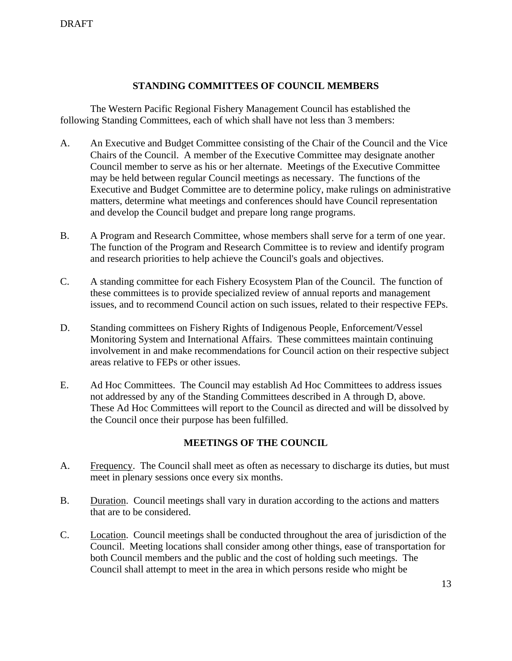# **STANDING COMMITTEES OF COUNCIL MEMBERS**

 The Western Pacific Regional Fishery Management Council has established the following Standing Committees, each of which shall have not less than 3 members:

- A. An Executive and Budget Committee consisting of the Chair of the Council and the Vice Chairs of the Council. A member of the Executive Committee may designate another Council member to serve as his or her alternate. Meetings of the Executive Committee may be held between regular Council meetings as necessary. The functions of the Executive and Budget Committee are to determine policy, make rulings on administrative matters, determine what meetings and conferences should have Council representation and develop the Council budget and prepare long range programs.
- B. A Program and Research Committee, whose members shall serve for a term of one year. The function of the Program and Research Committee is to review and identify program and research priorities to help achieve the Council's goals and objectives.
- C. A standing committee for each Fishery Ecosystem Plan of the Council. The function of these committees is to provide specialized review of annual reports and management issues, and to recommend Council action on such issues, related to their respective FEPs.
- D. Standing committees on Fishery Rights of Indigenous People, Enforcement/Vessel Monitoring System and International Affairs. These committees maintain continuing involvement in and make recommendations for Council action on their respective subject areas relative to FEPs or other issues.
- E. Ad Hoc Committees. The Council may establish Ad Hoc Committees to address issues not addressed by any of the Standing Committees described in A through D, above. These Ad Hoc Committees will report to the Council as directed and will be dissolved by the Council once their purpose has been fulfilled.

# **MEETINGS OF THE COUNCIL**

- A. Frequency. The Council shall meet as often as necessary to discharge its duties, but must meet in plenary sessions once every six months.
- B. Duration. Council meetings shall vary in duration according to the actions and matters that are to be considered.
- C. Location. Council meetings shall be conducted throughout the area of jurisdiction of the Council. Meeting locations shall consider among other things, ease of transportation for both Council members and the public and the cost of holding such meetings. The Council shall attempt to meet in the area in which persons reside who might be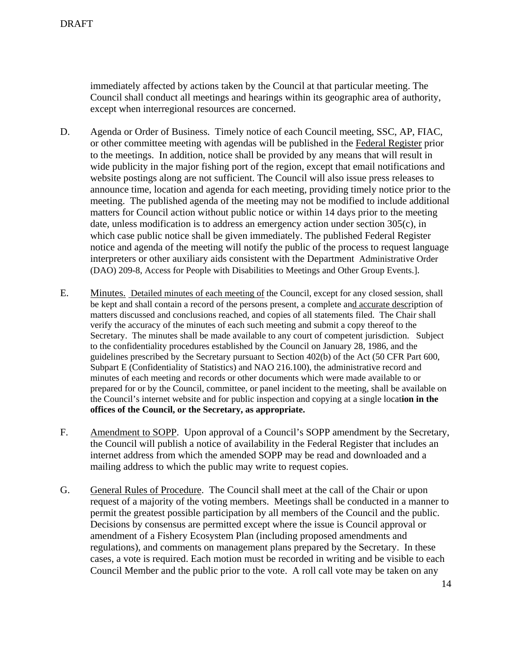immediately affected by actions taken by the Council at that particular meeting. The Council shall conduct all meetings and hearings within its geographic area of authority, except when interregional resources are concerned.

- D. Agenda or Order of Business. Timely notice of each Council meeting, SSC, AP, FIAC, or other committee meeting with agendas will be published in the Federal Register prior to the meetings. In addition, notice shall be provided by any means that will result in wide publicity in the major fishing port of the region, except that email notifications and website postings along are not sufficient. The Council will also issue press releases to announce time, location and agenda for each meeting, providing timely notice prior to the meeting. The published agenda of the meeting may not be modified to include additional matters for Council action without public notice or within 14 days prior to the meeting date, unless modification is to address an emergency action under section 305(c), in which case public notice shall be given immediately. The published Federal Register notice and agenda of the meeting will notify the public of the process to request language interpreters or other auxiliary aids consistent with the Department Administrative Order (DAO) 209-8, Access for People with Disabilities to Meetings and Other Group Events.].
- E. Minutes. Detailed minutes of each meeting of the Council, except for any closed session, shall be kept and shall contain a record of the persons present, a complete and accurate description of matters discussed and conclusions reached, and copies of all statements filed. The Chair shall verify the accuracy of the minutes of each such meeting and submit a copy thereof to the Secretary. The minutes shall be made available to any court of competent jurisdiction. Subject to the confidentiality procedures established by the Council on January 28, 1986, and the guidelines prescribed by the Secretary pursuant to Section 402(b) of the Act (50 CFR Part 600, Subpart E (Confidentiality of Statistics) and NAO 216.100), the administrative record and minutes of each meeting and records or other documents which were made available to or prepared for or by the Council, committee, or panel incident to the meeting, shall be available on the Council's internet website and for public inspection and copying at a single locat**ion in the offices of the Council, or the Secretary, as appropriate.**
- F. Amendment to SOPP. Upon approval of a Council's SOPP amendment by the Secretary, the Council will publish a notice of availability in the Federal Register that includes an internet address from which the amended SOPP may be read and downloaded and a mailing address to which the public may write to request copies.
- G. General Rules of Procedure. The Council shall meet at the call of the Chair or upon request of a majority of the voting members. Meetings shall be conducted in a manner to permit the greatest possible participation by all members of the Council and the public. Decisions by consensus are permitted except where the issue is Council approval or amendment of a Fishery Ecosystem Plan (including proposed amendments and regulations), and comments on management plans prepared by the Secretary. In these cases, a vote is required. Each motion must be recorded in writing and be visible to each Council Member and the public prior to the vote. A roll call vote may be taken on any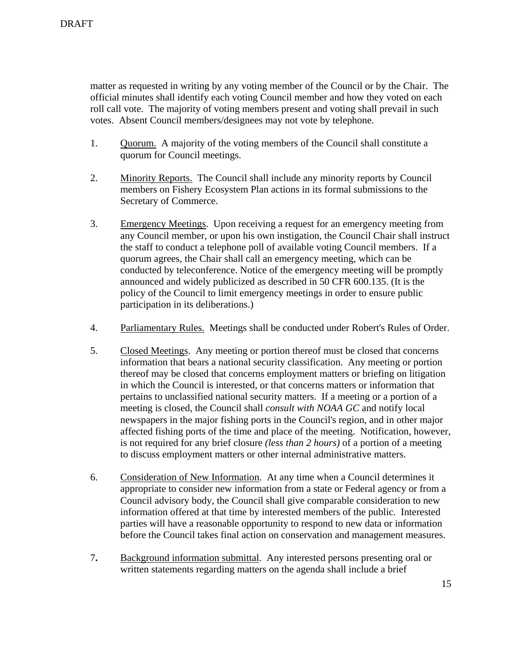matter as requested in writing by any voting member of the Council or by the Chair. The official minutes shall identify each voting Council member and how they voted on each roll call vote. The majority of voting members present and voting shall prevail in such votes. Absent Council members/designees may not vote by telephone.

- 1. Quorum. A majority of the voting members of the Council shall constitute a quorum for Council meetings.
- 2. Minority Reports. The Council shall include any minority reports by Council members on Fishery Ecosystem Plan actions in its formal submissions to the Secretary of Commerce.
- 3. Emergency Meetings. Upon receiving a request for an emergency meeting from any Council member, or upon his own instigation, the Council Chair shall instruct the staff to conduct a telephone poll of available voting Council members. If a quorum agrees, the Chair shall call an emergency meeting, which can be conducted by teleconference. Notice of the emergency meeting will be promptly announced and widely publicized as described in 50 CFR 600.135. (It is the policy of the Council to limit emergency meetings in order to ensure public participation in its deliberations.)
- 4. Parliamentary Rules. Meetings shall be conducted under Robert's Rules of Order.
- 5. Closed Meetings. Any meeting or portion thereof must be closed that concerns information that bears a national security classification. Any meeting or portion thereof may be closed that concerns employment matters or briefing on litigation in which the Council is interested, or that concerns matters or information that pertains to unclassified national security matters.If a meeting or a portion of a meeting is closed, the Council shall *consult with NOAA GC* and notify local newspapers in the major fishing ports in the Council's region, and in other major affected fishing ports of the time and place of the meeting. Notification, however, is not required for any brief closure *(less than 2 hours)* of a portion of a meeting to discuss employment matters or other internal administrative matters.
- 6. Consideration of New Information. At any time when a Council determines it appropriate to consider new information from a state or Federal agency or from a Council advisory body, the Council shall give comparable consideration to new information offered at that time by interested members of the public. Interested parties will have a reasonable opportunity to respond to new data or information before the Council takes final action on conservation and management measures.
- 7**.** Background information submittal. Any interested persons presenting oral or written statements regarding matters on the agenda shall include a brief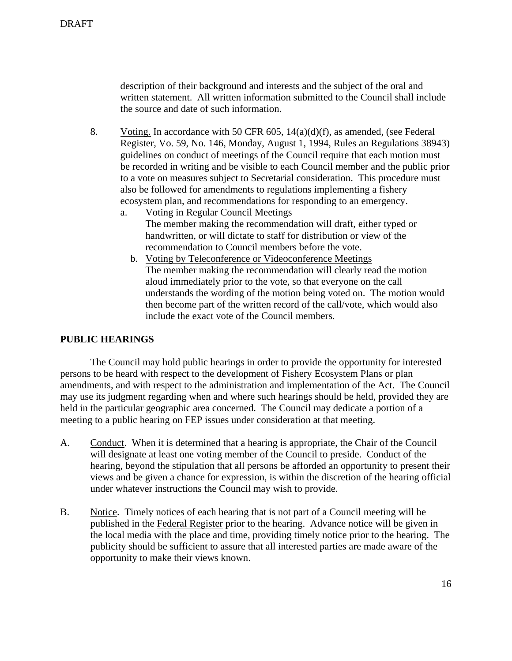description of their background and interests and the subject of the oral and written statement. All written information submitted to the Council shall include the source and date of such information.

- 8.Voting. In accordance with 50 CFR 605, 14(a)(d)(f), as amended, (see Federal Register, Vo. 59, No. 146, Monday, August 1, 1994, Rules an Regulations 38943) guidelines on conduct of meetings of the Council require that each motion must be recorded in writing and be visible to each Council member and the public prior to a vote on measures subject to Secretarial consideration. This procedure must also be followed for amendments to regulations implementing a fishery ecosystem plan, and recommendations for responding to an emergency.
	- a. Voting in Regular Council Meetings The member making the recommendation will draft, either typed or handwritten, or will dictate to staff for distribution or view of the recommendation to Council members before the vote.
		- b. Voting by Teleconference or Videoconference Meetings The member making the recommendation will clearly read the motion aloud immediately prior to the vote, so that everyone on the call understands the wording of the motion being voted on. The motion would then become part of the written record of the call/vote, which would also include the exact vote of the Council members.

### **PUBLIC HEARINGS**

 The Council may hold public hearings in order to provide the opportunity for interested persons to be heard with respect to the development of Fishery Ecosystem Plans or plan amendments, and with respect to the administration and implementation of the Act. The Council may use its judgment regarding when and where such hearings should be held, provided they are held in the particular geographic area concerned.The Council may dedicate a portion of a meeting to a public hearing on FEP issues under consideration at that meeting.

- A. Conduct. When it is determined that a hearing is appropriate, the Chair of the Council will designate at least one voting member of the Council to preside. Conduct of the hearing, beyond the stipulation that all persons be afforded an opportunity to present their views and be given a chance for expression, is within the discretion of the hearing official under whatever instructions the Council may wish to provide.
- B. Notice. Timely notices of each hearing that is not part of a Council meeting will be published in the Federal Register prior to the hearing. Advance notice will be given in the local media with the place and time, providing timely notice prior to the hearing. The publicity should be sufficient to assure that all interested parties are made aware of the opportunity to make their views known.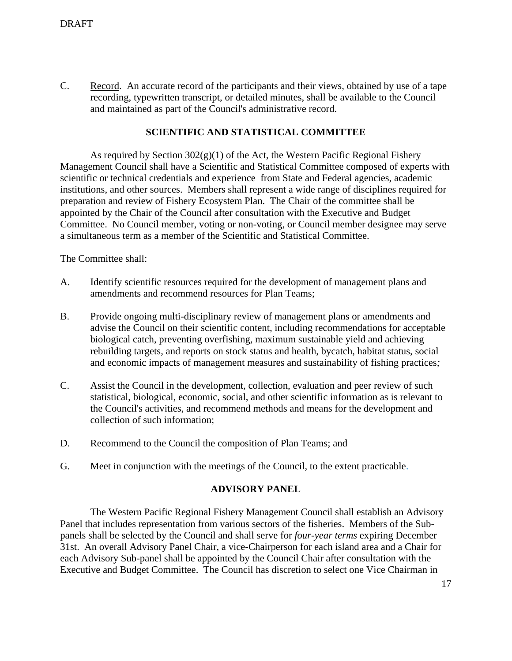C. Record. An accurate record of the participants and their views, obtained by use of a tape recording, typewritten transcript, or detailed minutes, shall be available to the Council and maintained as part of the Council's administrative record.

# **SCIENTIFIC AND STATISTICAL COMMITTEE**

As required by Section  $302(g)(1)$  of the Act, the Western Pacific Regional Fishery Management Council shall have a Scientific and Statistical Committee composed of experts with scientific or technical credentials and experience from State and Federal agencies, academic institutions, and other sources. Members shall represent a wide range of disciplines required for preparation and review of Fishery Ecosystem Plan. The Chair of the committee shall be appointed by the Chair of the Council after consultation with the Executive and Budget Committee. No Council member, voting or non-voting, or Council member designee may serve a simultaneous term as a member of the Scientific and Statistical Committee.

The Committee shall:

- A. Identify scientific resources required for the development of management plans and amendments and recommend resources for Plan Teams;
- B. Provide ongoing multi-disciplinary review of management plans or amendments and advise the Council on their scientific content*,* including recommendations for acceptable biological catch, preventing overfishing, maximum sustainable yield and achieving rebuilding targets, and reports on stock status and health, bycatch, habitat status, social and economic impacts of management measures and sustainability of fishing practices*;*
- C. Assist the Council in the development, collection, evaluation and peer review of such statistical, biological, economic, social, and other scientific information as is relevant to the Council's activities, and recommend methods and means for the development and collection of such information;
- D. Recommend to the Council the composition of Plan Teams; and
- G. Meet in conjunction with the meetings of the Council, to the extent practicable.

#### **ADVISORY PANEL**

 The Western Pacific Regional Fishery Management Council shall establish an Advisory Panel that includes representation from various sectors of the fisheries. Members of the Subpanels shall be selected by the Council and shall serve for *four-year terms* expiring December 31st. An overall Advisory Panel Chair, a vice-Chairperson for each island area and a Chair for each Advisory Sub-panel shall be appointed by the Council Chair after consultation with the Executive and Budget Committee. The Council has discretion to select one Vice Chairman in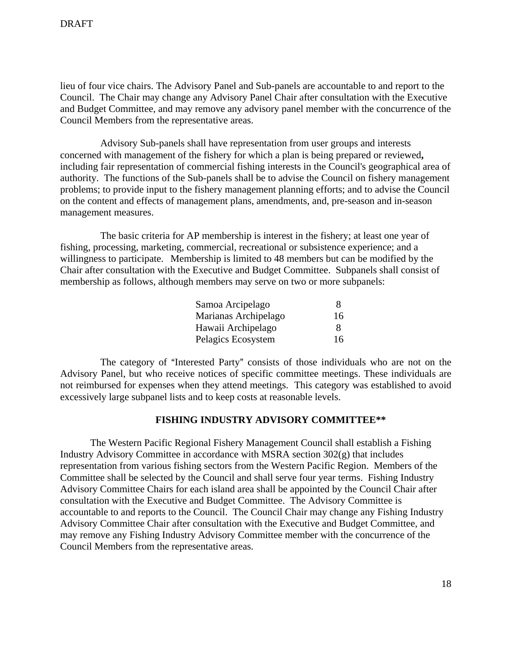lieu of four vice chairs. The Advisory Panel and Sub-panels are accountable to and report to the Council. The Chair may change any Advisory Panel Chair after consultation with the Executive and Budget Committee, and may remove any advisory panel member with the concurrence of the Council Members from the representative areas.

 Advisory Sub-panels shall have representation from user groups and interests concerned with management of the fishery for which a plan is being prepared or reviewed**,** including fair representation of commercial fishing interests in the Council's geographical area of authority. The functions of the Sub-panels shall be to advise the Council on fishery management problems; to provide input to the fishery management planning efforts; and to advise the Council on the content and effects of management plans, amendments, and, pre-season and in-season management measures.

 The basic criteria for AP membership is interest in the fishery; at least one year of fishing, processing, marketing, commercial, recreational or subsistence experience; and a willingness to participate. Membership is limited to 48 members but can be modified by the Chair after consultation with the Executive and Budget Committee. Subpanels shall consist of membership as follows, although members may serve on two or more subpanels:

| Samoa Arcipelago     | x  |
|----------------------|----|
| Marianas Archipelago | 16 |
| Hawaii Archipelago   | 8  |
| Pelagics Ecosystem   | 16 |

The category of "Interested Party" consists of those individuals who are not on the Advisory Panel, but who receive notices of specific committee meetings. These individuals are not reimbursed for expenses when they attend meetings. This category was established to avoid excessively large subpanel lists and to keep costs at reasonable levels.

## **FISHING INDUSTRY ADVISORY COMMITTEE\*\***

 The Western Pacific Regional Fishery Management Council shall establish a Fishing Industry Advisory Committee in accordance with MSRA section 302(g) that includes representation from various fishing sectors from the Western Pacific Region. Members of the Committee shall be selected by the Council and shall serve four year terms. Fishing Industry Advisory Committee Chairs for each island area shall be appointed by the Council Chair after consultation with the Executive and Budget Committee. The Advisory Committee is accountable to and reports to the Council. The Council Chair may change any Fishing Industry Advisory Committee Chair after consultation with the Executive and Budget Committee, and may remove any Fishing Industry Advisory Committee member with the concurrence of the Council Members from the representative areas.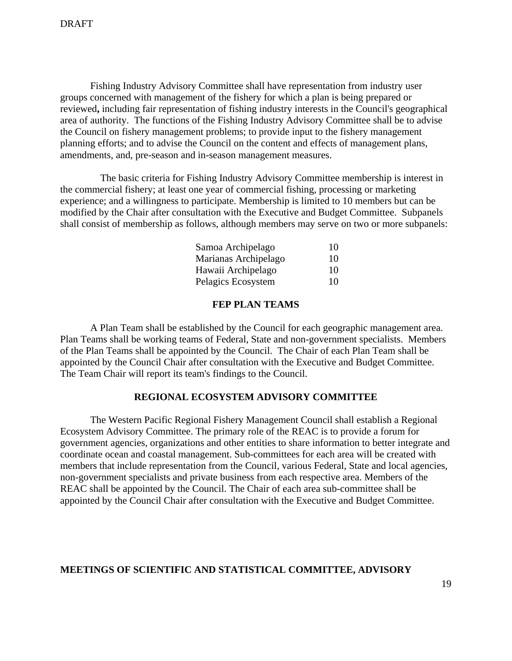Fishing Industry Advisory Committee shall have representation from industry user groups concerned with management of the fishery for which a plan is being prepared or reviewed**,** including fair representation of fishing industry interests in the Council's geographical area of authority. The functions of the Fishing Industry Advisory Committee shall be to advise the Council on fishery management problems; to provide input to the fishery management planning efforts; and to advise the Council on the content and effects of management plans, amendments, and, pre-season and in-season management measures.

 The basic criteria for Fishing Industry Advisory Committee membership is interest in the commercial fishery; at least one year of commercial fishing, processing or marketing experience; and a willingness to participate. Membership is limited to 10 members but can be modified by the Chair after consultation with the Executive and Budget Committee. Subpanels shall consist of membership as follows, although members may serve on two or more subpanels:

| Samoa Archipelago    |    |
|----------------------|----|
| Marianas Archipelago | 10 |
| Hawaii Archipelago   | 10 |
| Pelagics Ecosystem   | 10 |

#### **FEP PLAN TEAMS**

 A Plan Team shall be established by the Council for each geographic management area. Plan Teams shall be working teams of Federal, State and non-government specialists. Members of the Plan Teams shall be appointed by the Council. The Chair of each Plan Team shall be appointed by the Council Chair after consultation with the Executive and Budget Committee. The Team Chair will report its team's findings to the Council.

#### **REGIONAL ECOSYSTEM ADVISORY COMMITTEE**

The Western Pacific Regional Fishery Management Council shall establish a Regional Ecosystem Advisory Committee. The primary role of the REAC is to provide a forum for government agencies, organizations and other entities to share information to better integrate and coordinate ocean and coastal management. Sub-committees for each area will be created with members that include representation from the Council, various Federal, State and local agencies, non-government specialists and private business from each respective area. Members of the REAC shall be appointed by the Council. The Chair of each area sub-committee shall be appointed by the Council Chair after consultation with the Executive and Budget Committee.

# **MEETINGS OF SCIENTIFIC AND STATISTICAL COMMITTEE, ADVISORY**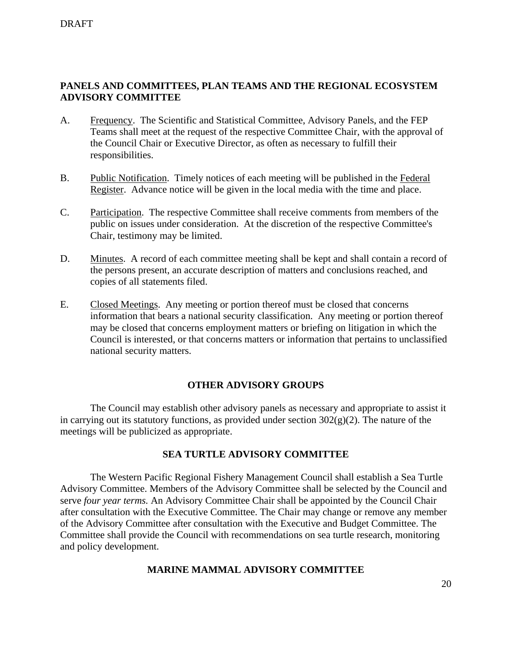# **PANELS AND COMMITTEES, PLAN TEAMS AND THE REGIONAL ECOSYSTEM ADVISORY COMMITTEE**

- A. Frequency. The Scientific and Statistical Committee, Advisory Panels, and the FEP Teams shall meet at the request of the respective Committee Chair, with the approval of the Council Chair or Executive Director, as often as necessary to fulfill their responsibilities.
- B. Public Notification. Timely notices of each meeting will be published in the Federal Register. Advance notice will be given in the local media with the time and place.
- C. Participation. The respective Committee shall receive comments from members of the public on issues under consideration. At the discretion of the respective Committee's Chair, testimony may be limited.
- D. Minutes. A record of each committee meeting shall be kept and shall contain a record of the persons present, an accurate description of matters and conclusions reached, and copies of all statements filed.
- E. Closed Meetings. Any meeting or portion thereof must be closed that concerns information that bears a national security classification. Any meeting or portion thereof may be closed that concerns employment matters or briefing on litigation in which the Council is interested, or that concerns matters or information that pertains to unclassified national security matters.

# **OTHER ADVISORY GROUPS**

 The Council may establish other advisory panels as necessary and appropriate to assist it in carrying out its statutory functions, as provided under section  $302(g)(2)$ . The nature of the meetings will be publicized as appropriate.

# **SEA TURTLE ADVISORY COMMITTEE**

 The Western Pacific Regional Fishery Management Council shall establish a Sea Turtle Advisory Committee. Members of the Advisory Committee shall be selected by the Council and serve *four year terms.* An Advisory Committee Chair shall be appointed by the Council Chair after consultation with the Executive Committee. The Chair may change or remove any member of the Advisory Committee after consultation with the Executive and Budget Committee. The Committee shall provide the Council with recommendations on sea turtle research, monitoring and policy development.

# **MARINE MAMMAL ADVISORY COMMITTEE**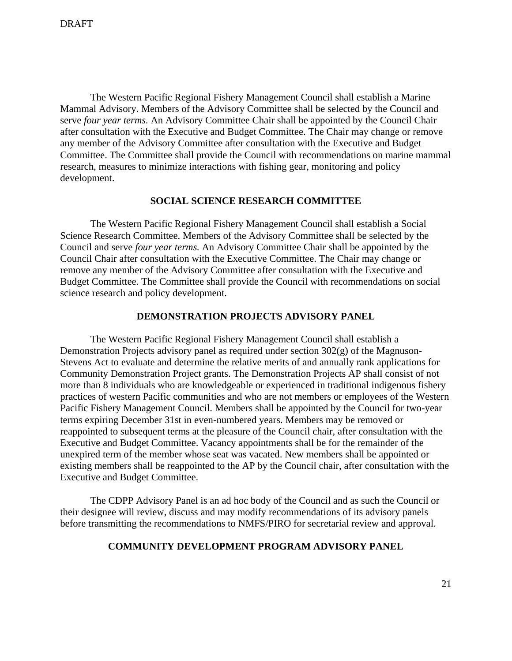The Western Pacific Regional Fishery Management Council shall establish a Marine Mammal Advisory. Members of the Advisory Committee shall be selected by the Council and serve *four year terms.* An Advisory Committee Chair shall be appointed by the Council Chair after consultation with the Executive and Budget Committee. The Chair may change or remove any member of the Advisory Committee after consultation with the Executive and Budget Committee. The Committee shall provide the Council with recommendations on marine mammal research, measures to minimize interactions with fishing gear, monitoring and policy development.

#### **SOCIAL SCIENCE RESEARCH COMMITTEE**

 The Western Pacific Regional Fishery Management Council shall establish a Social Science Research Committee. Members of the Advisory Committee shall be selected by the Council and serve *four year terms.* An Advisory Committee Chair shall be appointed by the Council Chair after consultation with the Executive Committee. The Chair may change or remove any member of the Advisory Committee after consultation with the Executive and Budget Committee. The Committee shall provide the Council with recommendations on social science research and policy development.

#### **DEMONSTRATION PROJECTS ADVISORY PANEL**

 The Western Pacific Regional Fishery Management Council shall establish a Demonstration Projects advisory panel as required under section 302(g) of the Magnuson-Stevens Act to evaluate and determine the relative merits of and annually rank applications for Community Demonstration Project grants. The Demonstration Projects AP shall consist of not more than 8 individuals who are knowledgeable or experienced in traditional indigenous fishery practices of western Pacific communities and who are not members or employees of the Western Pacific Fishery Management Council. Members shall be appointed by the Council for two-year terms expiring December 31st in even-numbered years. Members may be removed or reappointed to subsequent terms at the pleasure of the Council chair, after consultation with the Executive and Budget Committee. Vacancy appointments shall be for the remainder of the unexpired term of the member whose seat was vacated. New members shall be appointed or existing members shall be reappointed to the AP by the Council chair, after consultation with the Executive and Budget Committee.

The CDPP Advisory Panel is an ad hoc body of the Council and as such the Council or their designee will review, discuss and may modify recommendations of its advisory panels before transmitting the recommendations to NMFS/PIRO for secretarial review and approval.

# **COMMUNITY DEVELOPMENT PROGRAM ADVISORY PANEL**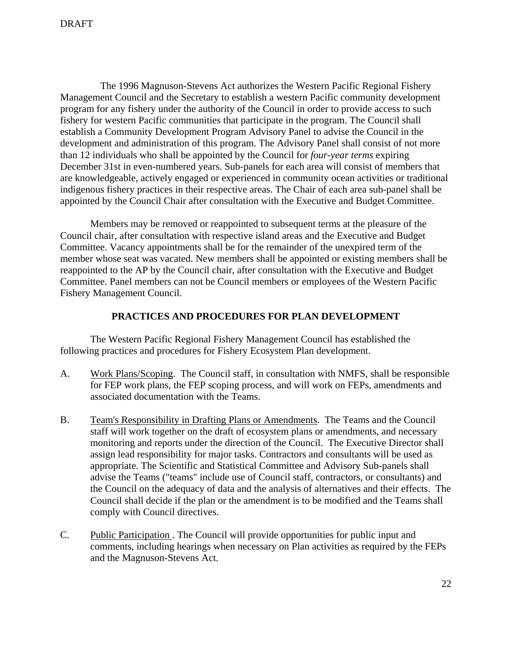The 1996 Magnuson-Stevens Act authorizes the Western Pacific Regional Fishery Management Council and the Secretary to establish a western Pacific community development program for any fishery under the authority of the Council in order to provide access to such fishery for western Pacific communities that participate in the program. The Council shall establish a Community Development Program Advisory Panel to advise the Council in the development and administration of this program. The Advisory Panel shall consist of not more than 12 individuals who shall be appointed by the Council for *four-year terms* expiring December 31st in even-numbered years. Sub-panels for each area will consist of members that are knowledgeable, actively engaged or experienced in community ocean activities or traditional indigenous fishery practices in their respective areas. The Chair of each area sub-panel shall be appointed by the Council Chair after consultation with the Executive and Budget Committee.

Members may be removed or reappointed to subsequent terms at the pleasure of the Council chair, after consultation with respective island areas and the Executive and Budget Committee. Vacancy appointments shall be for the remainder of the unexpired term of the member whose seat was vacated. New members shall be appointed or existing members shall be reappointed to the AP by the Council chair, after consultation with the Executive and Budget Committee. Panel members can not be Council members or employees of the Western Pacific Fishery Management Council.

#### **PRACTICES AND PROCEDURES FOR PLAN DEVELOPMENT**

 The Western Pacific Regional Fishery Management Council has established the following practices and procedures for Fishery Ecosystem Plan development.

- A. Work Plans/Scoping. The Council staff, in consultation with NMFS, shall be responsible for FEP work plans, the FEP scoping process, and will work on FEPs, amendments and associated documentation with the Teams.
- B. Team's Responsibility in Drafting Plans or Amendments. The Teams and the Council staff will work together on the draft of ecosystem plans or amendments, and necessary monitoring and reports under the direction of the Council. The Executive Director shall assign lead responsibility for major tasks. Contractors and consultants will be used as appropriate. The Scientific and Statistical Committee and Advisory Sub-panels shall advise the Teams ("teams" include use of Council staff, contractors, or consultants) and the Council on the adequacy of data and the analysis of alternatives and their effects. The Council shall decide if the plan or the amendment is to be modified and the Teams shall comply with Council directives.
- C. Public Participation . The Council will provide opportunities for public input and comments, including hearings when necessary on Plan activities as required by the FEPs and the Magnuson-Stevens Act.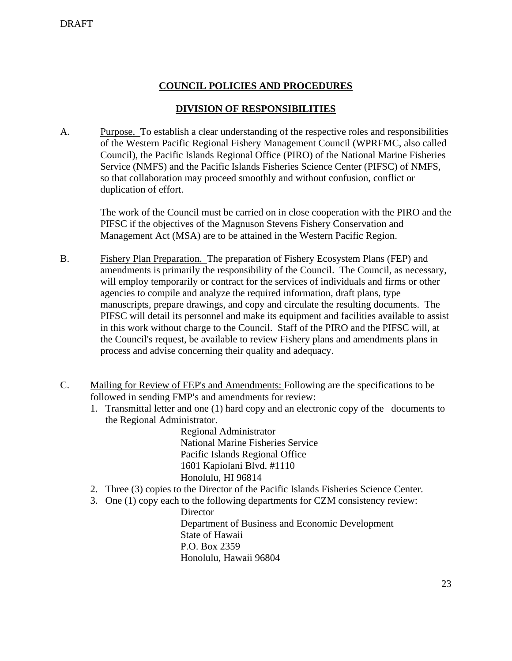# **COUNCIL POLICIES AND PROCEDURES**

# **DIVISION OF RESPONSIBILITIES**

A. Purpose. To establish a clear understanding of the respective roles and responsibilities of the Western Pacific Regional Fishery Management Council (WPRFMC, also called Council), the Pacific Islands Regional Office (PIRO) of the National Marine Fisheries Service (NMFS) and the Pacific Islands Fisheries Science Center (PIFSC) of NMFS, so that collaboration may proceed smoothly and without confusion, conflict or duplication of effort.

> The work of the Council must be carried on in close cooperation with the PIRO and the PIFSC if the objectives of the Magnuson Stevens Fishery Conservation and Management Act (MSA) are to be attained in the Western Pacific Region.

- B. Fishery Plan Preparation. The preparation of Fishery Ecosystem Plans (FEP) and amendments is primarily the responsibility of the Council. The Council, as necessary, will employ temporarily or contract for the services of individuals and firms or other agencies to compile and analyze the required information, draft plans, type manuscripts, prepare drawings, and copy and circulate the resulting documents. The PIFSC will detail its personnel and make its equipment and facilities available to assist in this work without charge to the Council. Staff of the PIRO and the PIFSC will, at the Council's request, be available to review Fishery plans and amendments plans in process and advise concerning their quality and adequacy.
- C. Mailing for Review of FEP's and Amendments: Following are the specifications to be followed in sending FMP's and amendments for review:
	- 1. Transmittal letter and one (1) hard copy and an electronic copy of the documents to the Regional Administrator.

Regional Administrator National Marine Fisheries Service Pacific Islands Regional Office 1601 Kapiolani Blvd. #1110 Honolulu, HI 96814

- 2. Three (3) copies to the Director of the Pacific Islands Fisheries Science Center.
- 3. One (1) copy each to the following departments for CZM consistency review:

**Director** Department of Business and Economic Development State of Hawaii P.O. Box 2359 Honolulu, Hawaii 96804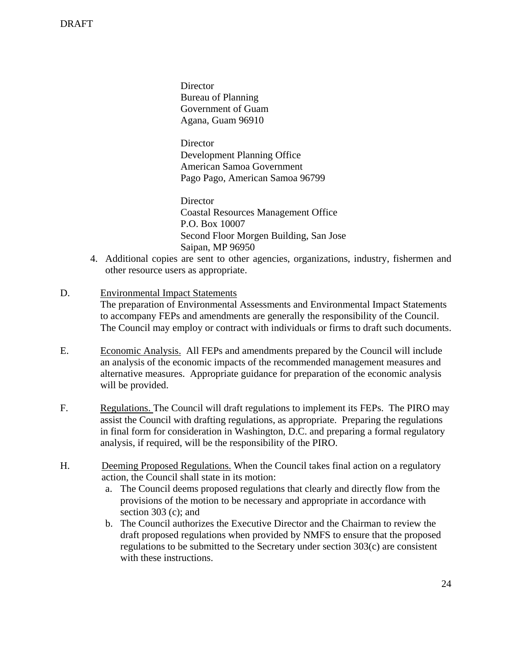**Director** Bureau of Planning Government of Guam Agana, Guam 96910

**Director** Development Planning Office American Samoa Government Pago Pago, American Samoa 96799

**Director** Coastal Resources Management Office P.O. Box 10007 Second Floor Morgen Building, San Jose Saipan, MP 96950

 4. Additional copies are sent to other agencies, organizations, industry, fishermen and other resource users as appropriate.

# D. Environmental Impact Statements

The preparation of Environmental Assessments and Environmental Impact Statements to accompany FEPs and amendments are generally the responsibility of the Council. The Council may employ or contract with individuals or firms to draft such documents.

- E. Economic Analysis. All FEPs and amendments prepared by the Council will include an analysis of the economic impacts of the recommended management measures and alternative measures. Appropriate guidance for preparation of the economic analysis will be provided.
- F. Regulations. The Council will draft regulations to implement its FEPs. The PIRO may assist the Council with drafting regulations, as appropriate. Preparing the regulations in final form for consideration in Washington, D.C. and preparing a formal regulatory analysis, if required, will be the responsibility of the PIRO.
- H. Deeming Proposed Regulations. When the Council takes final action on a regulatory action, the Council shall state in its motion:
	- a. The Council deems proposed regulations that clearly and directly flow from the provisions of the motion to be necessary and appropriate in accordance with section 303 (c); and
	- b. The Council authorizes the Executive Director and the Chairman to review the draft proposed regulations when provided by NMFS to ensure that the proposed regulations to be submitted to the Secretary under section 303(c) are consistent with these instructions.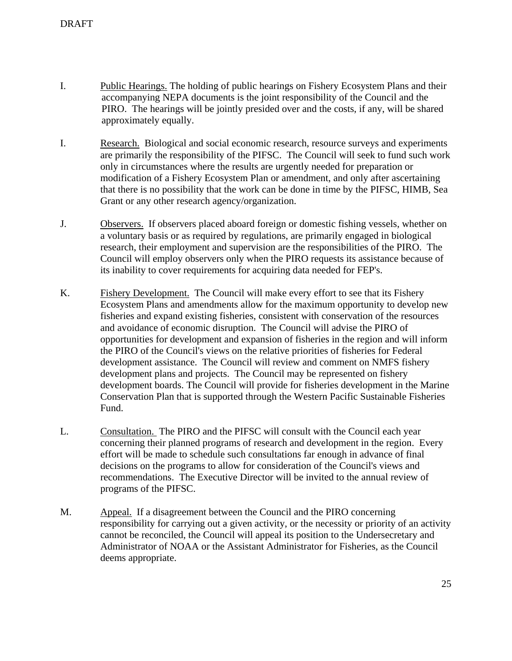- I. Public Hearings. The holding of public hearings on Fishery Ecosystem Plans and their accompanying NEPA documents is the joint responsibility of the Council and the PIRO. The hearings will be jointly presided over and the costs, if any, will be shared approximately equally.
- I. Research. Biological and social economic research, resource surveys and experiments are primarily the responsibility of the PIFSC. The Council will seek to fund such work only in circumstances where the results are urgently needed for preparation or modification of a Fishery Ecosystem Plan or amendment, and only after ascertaining that there is no possibility that the work can be done in time by the PIFSC, HIMB, Sea Grant or any other research agency/organization.
- J. Observers. If observers placed aboard foreign or domestic fishing vessels, whether on a voluntary basis or as required by regulations, are primarily engaged in biological research, their employment and supervision are the responsibilities of the PIRO. The Council will employ observers only when the PIRO requests its assistance because of its inability to cover requirements for acquiring data needed for FEP's.
- K. Fishery Development. The Council will make every effort to see that its Fishery Ecosystem Plans and amendments allow for the maximum opportunity to develop new fisheries and expand existing fisheries, consistent with conservation of the resources and avoidance of economic disruption. The Council will advise the PIRO of opportunities for development and expansion of fisheries in the region and will inform the PIRO of the Council's views on the relative priorities of fisheries for Federal development assistance. The Council will review and comment on NMFS fishery development plans and projects. The Council may be represented on fishery development boards. The Council will provide for fisheries development in the Marine Conservation Plan that is supported through the Western Pacific Sustainable Fisheries Fund.
- L.Consultation. The PIRO and the PIFSC will consult with the Council each year concerning their planned programs of research and development in the region. Every effort will be made to schedule such consultations far enough in advance of final decisions on the programs to allow for consideration of the Council's views and recommendations. The Executive Director will be invited to the annual review of programs of the PIFSC.
- M. Appeal. If a disagreement between the Council and the PIRO concerning responsibility for carrying out a given activity, or the necessity or priority of an activity cannot be reconciled, the Council will appeal its position to the Undersecretary and Administrator of NOAA or the Assistant Administrator for Fisheries, as the Council deems appropriate.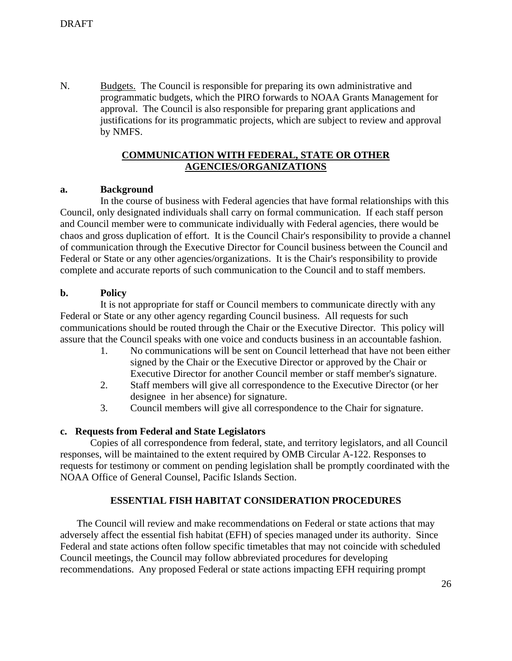N.Budgets.The Council is responsible for preparing its own administrative and programmatic budgets, which the PIRO forwards to NOAA Grants Management for approval. The Council is also responsible for preparing grant applications and justifications for its programmatic projects, which are subject to review and approval by NMFS.

## **COMMUNICATION WITH FEDERAL, STATE OR OTHER AGENCIES/ORGANIZATIONS**

### **a. Background**

 In the course of business with Federal agencies that have formal relationships with this Council, only designated individuals shall carry on formal communication. If each staff person and Council member were to communicate individually with Federal agencies, there would be chaos and gross duplication of effort. It is the Council Chair's responsibility to provide a channel of communication through the Executive Director for Council business between the Council and Federal or State or any other agencies/organizations. It is the Chair's responsibility to provide complete and accurate reports of such communication to the Council and to staff members.

### **b. Policy**

 It is not appropriate for staff or Council members to communicate directly with any Federal or State or any other agency regarding Council business. All requests for such communications should be routed through the Chair or the Executive Director. This policy will assure that the Council speaks with one voice and conducts business in an accountable fashion.

- 1. No communications will be sent on Council letterhead that have not been either signed by the Chair or the Executive Director or approved by the Chair or Executive Director for another Council member or staff member's signature.
- 2. Staff members will give all correspondence to the Executive Director (or her designee in her absence) for signature.
- 3. Council members will give all correspondence to the Chair for signature.

### **c. Requests from Federal and State Legislators**

 Copies of all correspondence from federal, state, and territory legislators, and all Council responses, will be maintained to the extent required by OMB Circular A-122. Responses to requests for testimony or comment on pending legislation shall be promptly coordinated with the NOAA Office of General Counsel, Pacific Islands Section.

### **ESSENTIAL FISH HABITAT CONSIDERATION PROCEDURES**

 The Council will review and make recommendations on Federal or state actions that may adversely affect the essential fish habitat (EFH) of species managed under its authority. Since Federal and state actions often follow specific timetables that may not coincide with scheduled Council meetings, the Council may follow abbreviated procedures for developing recommendations. Any proposed Federal or state actions impacting EFH requiring prompt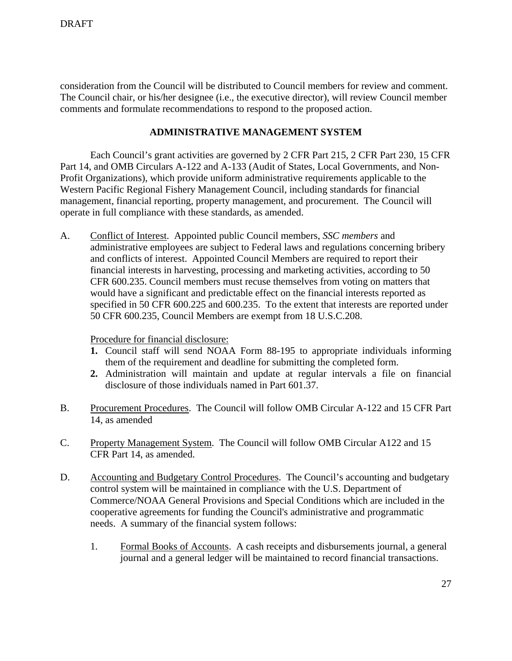consideration from the Council will be distributed to Council members for review and comment. The Council chair, or his/her designee (i.e., the executive director), will review Council member comments and formulate recommendations to respond to the proposed action.

# **ADMINISTRATIVE MANAGEMENT SYSTEM**

 Each Council's grant activities are governed by 2 CFR Part 215, 2 CFR Part 230, 15 CFR Part 14, and OMB Circulars A-122 and A-133 (Audit of States, Local Governments, and Non-Profit Organizations), which provide uniform administrative requirements applicable to the Western Pacific Regional Fishery Management Council, including standards for financial management, financial reporting, property management, and procurement. The Council will operate in full compliance with these standards, as amended.

A. Conflict of Interest. Appointed public Council members, *SSC members* and administrative employees are subject to Federal laws and regulations concerning bribery and conflicts of interest. Appointed Council Members are required to report their financial interests in harvesting, processing and marketing activities, according to 50 CFR 600.235. Council members must recuse themselves from voting on matters that would have a significant and predictable effect on the financial interests reported as specified in 50 CFR 600.225 and 600.235. To the extent that interests are reported under 50 CFR 600.235, Council Members are exempt from 18 U.S.C.208.

Procedure for financial disclosure:

- **1.** Council staff will send NOAA Form 88-195 to appropriate individuals informing them of the requirement and deadline for submitting the completed form.
- **2.** Administration will maintain and update at regular intervals a file on financial disclosure of those individuals named in Part 601.37.
- B. Procurement Procedures. The Council will follow OMB Circular A-122 and 15 CFR Part 14, as amended
- C. Property Management System. The Council will follow OMB Circular A122 and 15 CFR Part 14, as amended.
- D. Accounting and Budgetary Control Procedures. The Council's accounting and budgetary control system will be maintained in compliance with the U.S. Department of Commerce/NOAA General Provisions and Special Conditions which are included in the cooperative agreements for funding the Council's administrative and programmatic needs. A summary of the financial system follows:
	- 1. Formal Books of Accounts. A cash receipts and disbursements journal, a general journal and a general ledger will be maintained to record financial transactions.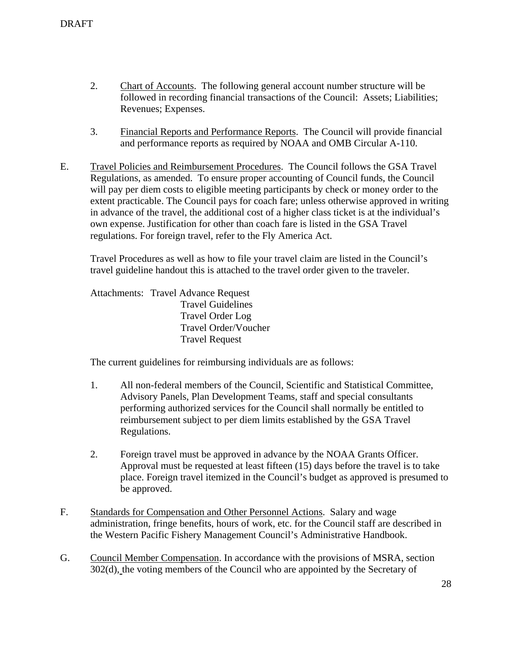- 2. Chart of Accounts. The following general account number structure will be followed in recording financial transactions of the Council: Assets; Liabilities; Revenues; Expenses.
- 3. Financial Reports and Performance Reports. The Council will provide financial and performance reports as required by NOAA and OMB Circular A-110.
- E. Travel Policies and Reimbursement Procedures. The Council follows the GSA Travel Regulations, as amended. To ensure proper accounting of Council funds, the Council will pay per diem costs to eligible meeting participants by check or money order to the extent practicable. The Council pays for coach fare; unless otherwise approved in writing in advance of the travel, the additional cost of a higher class ticket is at the individual's own expense. Justification for other than coach fare is listed in the GSA Travel regulations. For foreign travel, refer to the Fly America Act.

Travel Procedures as well as how to file your travel claim are listed in the Council's travel guideline handout this is attached to the travel order given to the traveler.

Attachments: Travel Advance Request Travel Guidelines Travel Order Log Travel Order/Voucher Travel Request

The current guidelines for reimbursing individuals are as follows:

- 1. All non-federal members of the Council, Scientific and Statistical Committee, Advisory Panels, Plan Development Teams, staff and special consultants performing authorized services for the Council shall normally be entitled to reimbursement subject to per diem limits established by the GSA Travel Regulations.
- 2. Foreign travel must be approved in advance by the NOAA Grants Officer. Approval must be requested at least fifteen (15) days before the travel is to take place. Foreign travel itemized in the Council's budget as approved is presumed to be approved.
- F. Standards for Compensation and Other Personnel Actions. Salary and wage administration, fringe benefits, hours of work, etc. for the Council staff are described in the Western Pacific Fishery Management Council's Administrative Handbook.
- G. Council Member Compensation. In accordance with the provisions of MSRA, section 302(d), the voting members of the Council who are appointed by the Secretary of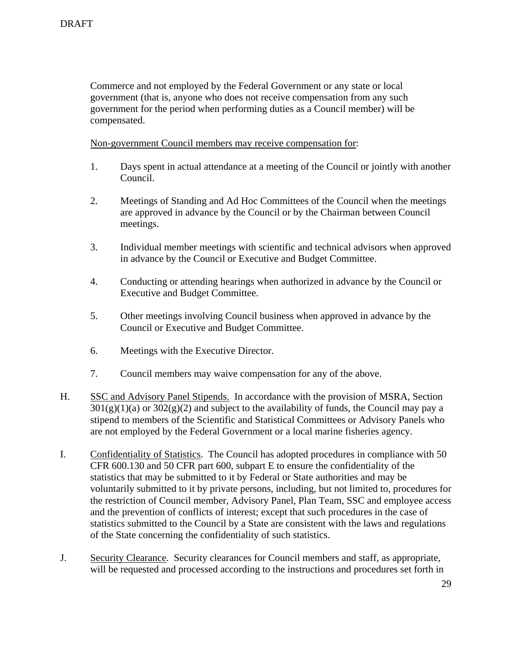Commerce and not employed by the Federal Government or any state or local government (that is, anyone who does not receive compensation from any such government for the period when performing duties as a Council member) will be compensated.

Non-government Council members may receive compensation for:

- 1. Days spent in actual attendance at a meeting of the Council or jointly with another Council.
- 2. Meetings of Standing and Ad Hoc Committees of the Council when the meetings are approved in advance by the Council or by the Chairman between Council meetings.
- 3. Individual member meetings with scientific and technical advisors when approved in advance by the Council or Executive and Budget Committee.
- 4. Conducting or attending hearings when authorized in advance by the Council or Executive and Budget Committee.
- 5. Other meetings involving Council business when approved in advance by the Council or Executive and Budget Committee.
- 6. Meetings with the Executive Director.
- 7. Council members may waive compensation for any of the above.
- H. SSC and Advisory Panel Stipends. In accordance with the provision of MSRA, Section  $301(g)(1)(a)$  or  $302(g)(2)$  and subject to the availability of funds, the Council may pay a stipend to members of the Scientific and Statistical Committees or Advisory Panels who are not employed by the Federal Government or a local marine fisheries agency.
- I. Confidentiality of Statistics. The Council has adopted procedures in compliance with 50 CFR 600.130 and 50 CFR part 600, subpart E to ensure the confidentiality of the statistics that may be submitted to it by Federal or State authorities and may be voluntarily submitted to it by private persons, including, but not limited to, procedures for the restriction of Council member, Advisory Panel, Plan Team, SSC and employee access and the prevention of conflicts of interest; except that such procedures in the case of statistics submitted to the Council by a State are consistent with the laws and regulations of the State concerning the confidentiality of such statistics.
- J. Security Clearance. Security clearances for Council members and staff, as appropriate, will be requested and processed according to the instructions and procedures set forth in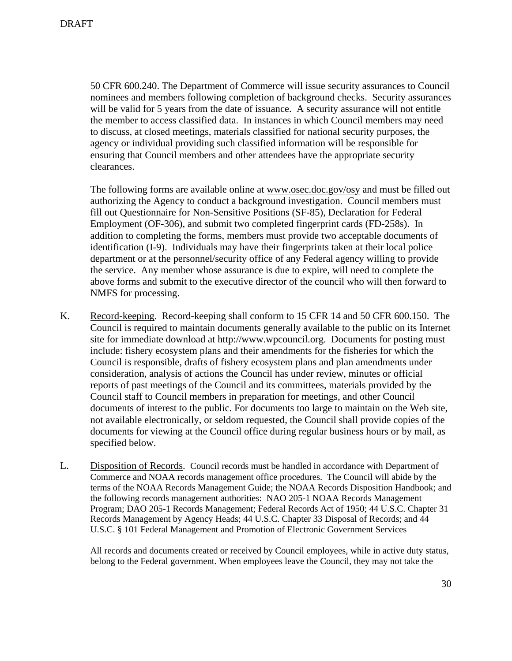50 CFR 600.240. The Department of Commerce will issue security assurances to Council nominees and members following completion of background checks. Security assurances will be valid for 5 years from the date of issuance. A security assurance will not entitle the member to access classified data. In instances in which Council members may need to discuss, at closed meetings, materials classified for national security purposes, the agency or individual providing such classified information will be responsible for ensuring that Council members and other attendees have the appropriate security clearances.

The following forms are available online at www.osec.doc.gov/osy and must be filled out authorizing the Agency to conduct a background investigation. Council members must fill out Questionnaire for Non-Sensitive Positions (SF-85), Declaration for Federal Employment (OF-306), and submit two completed fingerprint cards (FD-258s). In addition to completing the forms, members must provide two acceptable documents of identification (I-9). Individuals may have their fingerprints taken at their local police department or at the personnel/security office of any Federal agency willing to provide the service. Any member whose assurance is due to expire, will need to complete the above forms and submit to the executive director of the council who will then forward to NMFS for processing.

- K. Record-keeping. Record-keeping shall conform to 15 CFR 14 and 50 CFR 600.150. The Council is required to maintain documents generally available to the public on its Internet site for immediate download at http://www.wpcouncil.org. Documents for posting must include: fishery ecosystem plans and their amendments for the fisheries for which the Council is responsible, drafts of fishery ecosystem plans and plan amendments under consideration, analysis of actions the Council has under review, minutes or official reports of past meetings of the Council and its committees, materials provided by the Council staff to Council members in preparation for meetings, and other Council documents of interest to the public. For documents too large to maintain on the Web site, not available electronically, or seldom requested, the Council shall provide copies of the documents for viewing at the Council office during regular business hours or by mail, as specified below.
- L. Disposition of Records. Council records must be handled in accordance with Department of Commerce and NOAA records management office procedures. The Council will abide by the terms of the NOAA Records Management Guide; the NOAA Records Disposition Handbook; and the following records management authorities: NAO 205-1 NOAA Records Management Program; DAO 205-1 Records Management; Federal Records Act of 1950; 44 U.S.C. Chapter 31 Records Management by Agency Heads; 44 U.S.C. Chapter 33 Disposal of Records; and 44 U.S.C. § 101 Federal Management and Promotion of Electronic Government Services

 All records and documents created or received by Council employees, while in active duty status, belong to the Federal government. When employees leave the Council, they may not take the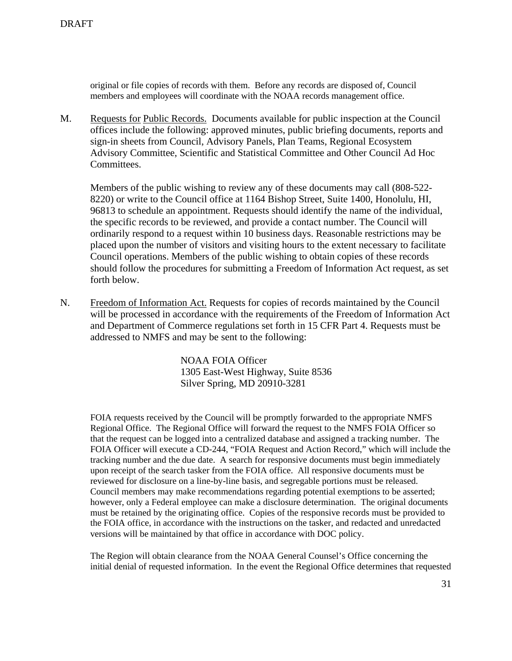original or file copies of records with them. Before any records are disposed of, Council members and employees will coordinate with the NOAA records management office.

M. Requests for Public Records. Documents available for public inspection at the Council offices include the following: approved minutes, public briefing documents, reports and sign-in sheets from Council, Advisory Panels, Plan Teams, Regional Ecosystem Advisory Committee, Scientific and Statistical Committee and Other Council Ad Hoc Committees.

 Members of the public wishing to review any of these documents may call (808-522- 8220) or write to the Council office at 1164 Bishop Street, Suite 1400, Honolulu, HI, 96813 to schedule an appointment. Requests should identify the name of the individual, the specific records to be reviewed, and provide a contact number. The Council will ordinarily respond to a request within 10 business days. Reasonable restrictions may be placed upon the number of visitors and visiting hours to the extent necessary to facilitate Council operations. Members of the public wishing to obtain copies of these records should follow the procedures for submitting a Freedom of Information Act request, as set forth below.

N. Freedom of Information Act. Requests for copies of records maintained by the Council will be processed in accordance with the requirements of the Freedom of Information Act and Department of Commerce regulations set forth in 15 CFR Part 4. Requests must be addressed to NMFS and may be sent to the following:

> NOAA FOIA Officer 1305 East-West Highway, Suite 8536 Silver Spring, MD 20910-3281

FOIA requests received by the Council will be promptly forwarded to the appropriate NMFS Regional Office. The Regional Office will forward the request to the NMFS FOIA Officer so that the request can be logged into a centralized database and assigned a tracking number. The FOIA Officer will execute a CD-244, "FOIA Request and Action Record," which will include the tracking number and the due date. A search for responsive documents must begin immediately upon receipt of the search tasker from the FOIA office. All responsive documents must be reviewed for disclosure on a line-by-line basis, and segregable portions must be released. Council members may make recommendations regarding potential exemptions to be asserted; however, only a Federal employee can make a disclosure determination. The original documents must be retained by the originating office. Copies of the responsive records must be provided to the FOIA office, in accordance with the instructions on the tasker, and redacted and unredacted versions will be maintained by that office in accordance with DOC policy.

The Region will obtain clearance from the NOAA General Counsel's Office concerning the initial denial of requested information. In the event the Regional Office determines that requested